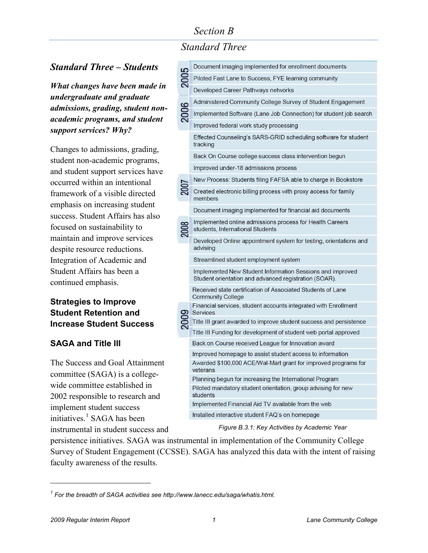# *Standard Three*

### *Standard Three – Students*

*What changes have been made in undergraduate and graduate admissions, grading, student nonacademic programs, and student support services? Why?* 

Changes to admissions, grading, student non-academic programs, and student support services have occurred within an intentional framework of a visible directed emphasis on increasing student success. Student Affairs has also focused on sustainability to maintain and improve services despite resource reductions. Integration of Academic and Student Affairs has been a continued emphasis.

### **Strategies to Improve Student Retention and Increase Student Success**

#### **SAGA and Title III**

The Success and Goal Attainment committee (SAGA) is a collegewide committee established in 2002 responsible to research and implement student success initiatives.<sup>[1](#page-0-0)</sup> SAGA has been instrumental in student success and

|  | Document imaging implemented for enrollment documents                                                              |
|--|--------------------------------------------------------------------------------------------------------------------|
|  | Piloted Fast Lane to Success, FYE learning community                                                               |
|  | Developed Career Pathways networks                                                                                 |
|  | Administered Community College Survey of Student Engagement                                                        |
|  | Implemented Software (Lane Job Connection) for student job search                                                  |
|  | Improved federal work study processing                                                                             |
|  | Effected Counseling's SARS-GRID scheduling software for student<br>tracking                                        |
|  | Back On Course college success class intervention begun                                                            |
|  | Improved under-18 admissions process                                                                               |
|  | New Process: Students filing FAFSA able to charge in Bookstore                                                     |
|  | Created electronic billing process with proxy access for family<br>members                                         |
|  | Document imaging implemented for financial aid documents                                                           |
|  | Implemented online admissions process for Health Careers<br>students, International Students                       |
|  | Developed Online appointment system for testing, orientations and<br>advising                                      |
|  | Streamlined student employment system                                                                              |
|  | Implemented New Student Information Sessions and improved<br>Student orientation and advanced registration (SOAR). |
|  | Received state certification of Associated Students of Lane<br><b>Community College</b>                            |
|  | Financial services, student accounts integrated with Enrollment<br><b>Services</b>                                 |
|  | Title III grant awarded to improve student success and persistence                                                 |
|  | Title III Funding for development of student web portal approved                                                   |
|  | Back on Course received League for Innovation award                                                                |
|  | Improved homepage to assist student access to information                                                          |
|  | Awarded \$100,000 ACE/Wal-Mart grant for improved programs for<br>veterans                                         |
|  | Planning begun for increasing the International Program                                                            |
|  | Piloted mandatory student orientation, group advising for new<br>students                                          |
|  | Implemented Financial Aid TV available from the web                                                                |
|  | Installed interactive student FAQ's on homepage                                                                    |

*Figure B.3.1: Key Activities by Academic Year*

persistence initiatives. SAGA was instrumental in implementation of the Community College Survey of Student Engagement (CCSSE). SAGA has analyzed this data with the intent of raising faculty awareness of the results.

<span id="page-0-0"></span>*<sup>1</sup> For the breadth of SAGA activities see [http://www.lanecc.edu/saga/whatis.html.](http://www.lanecc.edu/saga/whatis.html)*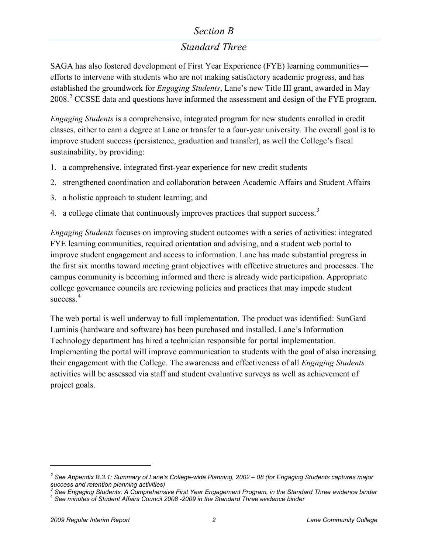## *Standard Three*

SAGA has also fostered development of First Year Experience (FYE) learning communities efforts to intervene with students who are not making satisfactory academic progress, and has established the groundwork for *Engaging Students*, Lane's new Title III grant, awarded in May [2](#page-1-0)008.<sup>2</sup> CCSSE data and questions have informed the assessment and design of the FYE program.

*Engaging Students* is a comprehensive, integrated program for new students enrolled in credit classes, either to earn a degree at Lane or transfer to a four-year university. The overall goal is to improve student success (persistence, graduation and transfer), as well the College's fiscal sustainability, by providing:

- 1. a comprehensive, integrated first-year experience for new credit students
- 2. strengthened coordination and collaboration between Academic Affairs and Student Affairs
- 3. a holistic approach to student learning; and
- 4. a college climate that continuously improves practices that support success.<sup>[3](#page-1-1)</sup>

*Engaging Students* focuses on improving student outcomes with a series of activities: integrated FYE learning communities, required orientation and advising, and a student web portal to improve student engagement and access to information. Lane has made substantial progress in the first six months toward meeting grant objectives with effective structures and processes. The campus community is becoming informed and there is already wide participation. Appropriate college governance councils are reviewing policies and practices that may impede student success<sup>[4](#page-1-2)</sup>

The web portal is well underway to full implementation. The product was identified: SunGard Luminis (hardware and software) has been purchased and installed. Lane's Information Technology department has hired a technician responsible for portal implementation. Implementing the portal will improve communication to students with the goal of also increasing their engagement with the College. The awareness and effectiveness of all *Engaging Students*  activities will be assessed via staff and student evaluative surveys as well as achievement of project goals.

<span id="page-1-0"></span>*<sup>2</sup> See Appendix B.3.1: Summary of Lane's College-wide Planning, 2002 – 08 (for Engaging Students captures major success and retention planning activities)*

<span id="page-1-1"></span><sup>&</sup>lt;sup>3</sup> See Engaging Students: A Comprehensive First Year Engagement Program, in the Standard Three evidence binder<br><sup>4</sup> See minutes of Student Affairs Council 2008 -2009 in the Standard Three evidence binder

<span id="page-1-2"></span>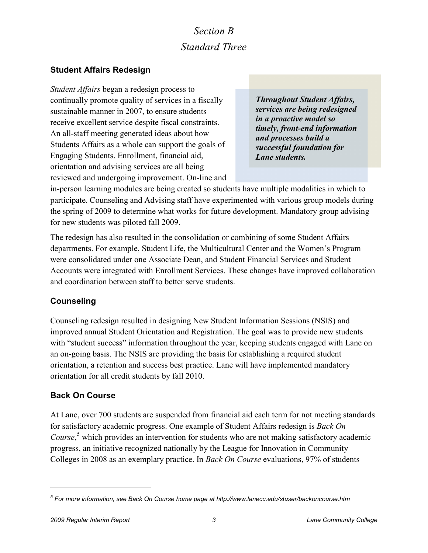# *Section B Standard Three*

### **Student Affairs Redesign**

*Student Affairs* began a redesign process to continually promote quality of services in a fiscally sustainable manner in 2007, to ensure students receive excellent service despite fiscal constraints. An all-staff meeting generated ideas about how Students Affairs as a whole can support the goals of Engaging Students. Enrollment, financial aid, orientation and advising services are all being reviewed and undergoing improvement. On-line and

*Throughout Student Affairs, services are being redesigned in a proactive model so timely, front-end information and processes build a successful foundation for Lane students.*

in-person learning modules are being created so students have multiple modalities in which to participate. Counseling and Advising staff have experimented with various group models during the spring of 2009 to determine what works for future development. Mandatory group advising for new students was piloted fall 2009.

The redesign has also resulted in the consolidation or combining of some Student Affairs departments. For example, Student Life, the Multicultural Center and the Women's Program were consolidated under one Associate Dean, and Student Financial Services and Student Accounts were integrated with Enrollment Services. These changes have improved collaboration and coordination between staff to better serve students.

#### **Counseling**

Counseling redesign resulted in designing New Student Information Sessions (NSIS) and improved annual Student Orientation and Registration. The goal was to provide new students with "student success" information throughout the year, keeping students engaged with Lane on an on-going basis. The NSIS are providing the basis for establishing a required student orientation, a retention and success best practice. Lane will have implemented mandatory orientation for all credit students by fall 2010.

#### **Back On Course**

At Lane, over 700 students are suspended from financial aid each term for not meeting standards for satisfactory academic progress. One example of Student Affairs redesign is *Back On*  Course,<sup>[5](#page-2-0)</sup> which provides an intervention for students who are not making satisfactory academic progress, an initiative recognized nationally by the League for Innovation in Community Colleges in 2008 as an exemplary practice. In *Back On Course* evaluations, 97% of students

<span id="page-2-0"></span><sup>&</sup>lt;sup>5</sup> For more information, see Back On Course home page at http://www.lanecc.edu/stuser/backoncourse.htm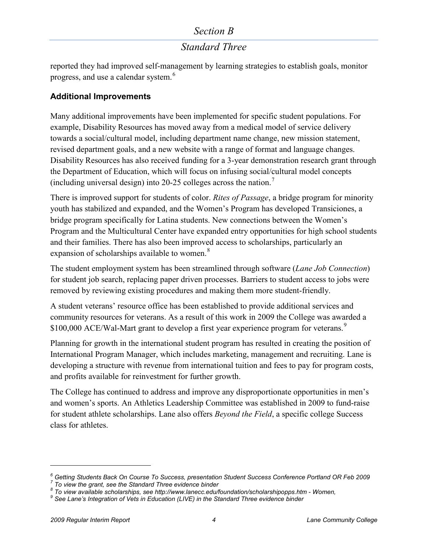## *Standard Three*

reported they had improved self-management by learning strategies to establish goals, monitor progress, and use a calendar system.<sup>[6](#page-3-0)</sup>

#### **Additional Improvements**

Many additional improvements have been implemented for specific student populations. For example, Disability Resources has moved away from a medical model of service delivery towards a social/cultural model, including department name change, new mission statement, revised department goals, and a new website with a range of format and language changes. Disability Resources has also received funding for a 3-year demonstration research grant through the Department of Education, which will focus on infusing social/cultural model concepts (including universal design) into 20-25 colleges across the nation.<sup>[7](#page-3-1)</sup>

There is improved support for students of color. *Rites of Passage*, a bridge program for minority youth has stabilized and expanded, and the Women's Program has developed Transiciones, a bridge program specifically for Latina students. New connections between the Women's Program and the Multicultural Center have expanded entry opportunities for high school students and their families. There has also been improved access to scholarships, particularly an expansion of scholarships available to women.<sup>[8](#page-3-2)</sup>

The student employment system has been streamlined through software (*Lane Job Connection*) for student job search, replacing paper driven processes. Barriers to student access to jobs were removed by reviewing existing procedures and making them more student-friendly.

A student veterans' resource office has been established to provide additional services and community resources for veterans. As a result of this work in 2009 the College was awarded a \$100,000 ACE/Wal-Mart grant to develop a first year experience program for veterans.<sup>[9](#page-3-3)</sup>

Planning for growth in the international student program has resulted in creating the position of International Program Manager, which includes marketing, management and recruiting. Lane is developing a structure with revenue from international tuition and fees to pay for program costs, and profits available for reinvestment for further growth.

The College has continued to address and improve any disproportionate opportunities in men's and women's sports. An Athletics Leadership Committee was established in 2009 to fund-raise for student athlete scholarships. Lane also offers *Beyond the Field*, a specific college Success class for athletes.

<span id="page-3-0"></span>*<sup>6</sup> Getting Students Back On Course To Success, presentation Student Success Conference Portland OR Feb 2009 <sup>7</sup> To view the grant, see the Standard Three evidence binder* 

<span id="page-3-3"></span><span id="page-3-2"></span><span id="page-3-1"></span> $\frac{8}{7}$  To view available scholarships, see http://www.lanecc.edu/foundation/scholarshipopps.htm - [Women,](http://www.lanecc.edu/foundation/scholarshipopps.htm#Women)  $\frac{8}{7}$  See Lane's Integration of Vets in Education (LIVE) in the Standard Three evidence binder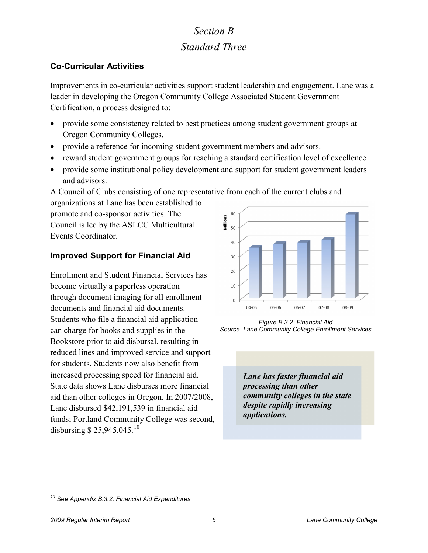## *Standard Three*

#### **Co-Curricular Activities**

Improvements in co-curricular activities support student leadership and engagement. Lane was a leader in developing the Oregon Community College Associated Student Government Certification, a process designed to:

- provide some consistency related to best practices among student government groups at Oregon Community Colleges.
- provide a reference for incoming student government members and advisors.
- reward student government groups for reaching a standard certification level of excellence.
- provide some institutional policy development and support for student government leaders and advisors.

A Council of Clubs consisting of one representative from each of the current clubs and

organizations at Lane has been established to promote and co-sponsor activities. The Council is led by the ASLCC Multicultural Events Coordinator.

#### **Improved Support for Financial Aid**

Enrollment and Student Financial Services has become virtually a paperless operation through document imaging for all enrollment documents and financial aid documents. Students who file a financial aid application can charge for books and supplies in the Bookstore prior to aid disbursal, resulting in reduced lines and improved service and support for students. Students now also benefit from increased processing speed for financial aid. State data shows Lane disburses more financial aid than other colleges in Oregon. In 2007/2008, Lane disbursed \$42,191,539 in financial aid funds; Portland Community College was second, disbursing \$ 25,945,045.<sup>[10](#page-4-0)</sup>



*Figure B.3.2: Financial Aid Source: Lane Community College Enrollment Services*

*Lane has faster financial aid processing than other community colleges in the state despite rapidly increasing applications.*

<span id="page-4-0"></span>*<sup>10</sup> See Appendix B.3.2: Financial Aid Expenditures*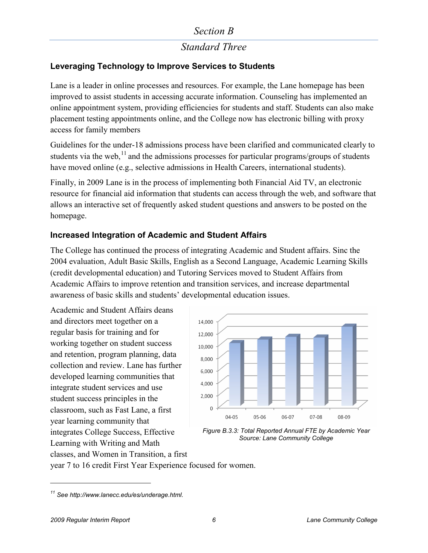## *Standard Three*

#### **Leveraging Technology to Improve Services to Students**

Lane is a leader in online processes and resources. For example, the Lane homepage has been improved to assist students in accessing accurate information. Counseling has implemented an online appointment system, providing efficiencies for students and staff. Students can also make placement testing appointments online, and the College now has electronic billing with proxy access for family members

Guidelines for the under-18 admissions process have been clarified and communicated clearly to students via the web,  $11$  and the admissions processes for particular programs/groups of students have moved online (e.g., selective admissions in Health Careers, international students).

Finally, in 2009 Lane is in the process of implementing both Financial Aid TV, an electronic resource for financial aid information that students can access through the web, and software that allows an interactive set of frequently asked student questions and answers to be posted on the homepage.

#### **Increased Integration of Academic and Student Affairs**

The College has continued the process of integrating Academic and Student affairs. Sinc the 2004 evaluation, Adult Basic Skills, English as a Second Language, Academic Learning Skills (credit developmental education) and Tutoring Services moved to Student Affairs from Academic Affairs to improve retention and transition services, and increase departmental awareness of basic skills and students' developmental education issues.

Academic and Student Affairs deans and directors meet together on a regular basis for training and for working together on student success and retention, program planning, data collection and review. Lane has further developed learning communities that integrate student services and use student success principles in the classroom, such as Fast Lane, a first year learning community that integrates College Success, Effective Learning with Writing and Math classes, and Women in Transition, a first



*Figure B.3.3: Total Reported Annual FTE by Academic Year Source: Lane Community College* 

year 7 to 16 credit First Year Experience focused for women.

<span id="page-5-0"></span>*<sup>11</sup> Se[e http://www.lanecc.edu/es/underage.html.](http://www.lanecc.edu/es/underage.html)*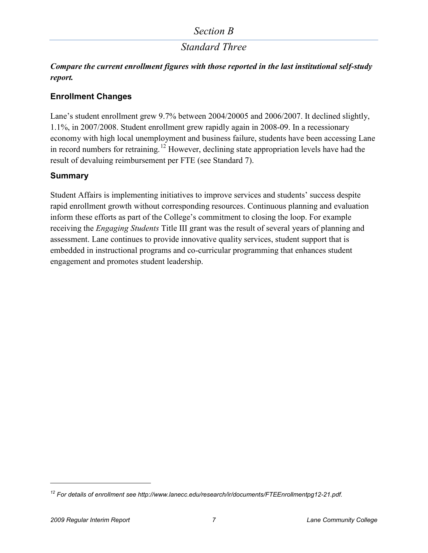## *Standard Three*

#### *Compare the current enrollment figures with those reported in the last institutional self-study report.*

### **Enrollment Changes**

Lane's student enrollment grew 9.7% between 2004/20005 and 2006/2007. It declined slightly, 1.1%, in 2007/2008. Student enrollment grew rapidly again in 2008-09. In a recessionary economy with high local unemployment and business failure, students have been accessing Lane in record numbers for retraining.<sup>[12](#page-6-0)</sup> However, declining state appropriation levels have had the result of devaluing reimbursement per FTE (see Standard 7).

#### **Summary**

Student Affairs is implementing initiatives to improve services and students' success despite rapid enrollment growth without corresponding resources. Continuous planning and evaluation inform these efforts as part of the College's commitment to closing the loop. For example receiving the *Engaging Students* Title III grant was the result of several years of planning and assessment. Lane continues to provide innovative quality services, student support that is embedded in instructional programs and co-curricular programming that enhances student engagement and promotes student leadership.

<span id="page-6-0"></span>*<sup>12</sup> For details of enrollment see<http://www.lanecc.edu/research/ir/documents/FTEEnrollmentpg12-21.pdf>*.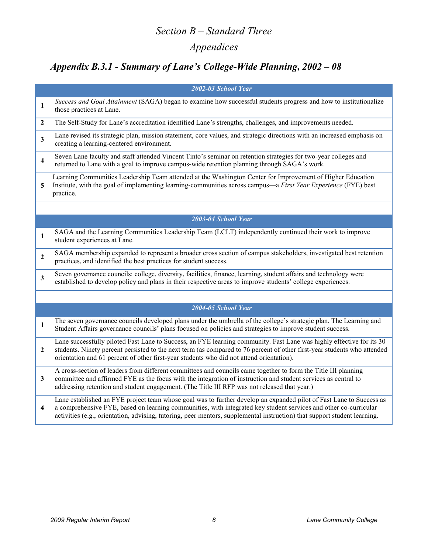# *Appendices*

# *Appendix B.3.1 - Summary of Lane's College-Wide Planning, 2002 – 08*

| 2002-03 School Year     |                                                                                                                                                                                                                                                                                                                                                                      |  |  |  |  |  |
|-------------------------|----------------------------------------------------------------------------------------------------------------------------------------------------------------------------------------------------------------------------------------------------------------------------------------------------------------------------------------------------------------------|--|--|--|--|--|
| 1                       | Success and Goal Attainment (SAGA) began to examine how successful students progress and how to institutionalize<br>those practices at Lane.                                                                                                                                                                                                                         |  |  |  |  |  |
| $\mathbf{2}$            | The Self-Study for Lane's accreditation identified Lane's strengths, challenges, and improvements needed.                                                                                                                                                                                                                                                            |  |  |  |  |  |
| $\overline{\mathbf{3}}$ | Lane revised its strategic plan, mission statement, core values, and strategic directions with an increased emphasis on<br>creating a learning-centered environment.                                                                                                                                                                                                 |  |  |  |  |  |
| $\overline{\mathbf{4}}$ | Seven Lane faculty and staff attended Vincent Tinto's seminar on retention strategies for two-year colleges and<br>returned to Lane with a goal to improve campus-wide retention planning through SAGA's work.                                                                                                                                                       |  |  |  |  |  |
| 5                       | Learning Communities Leadership Team attended at the Washington Center for Improvement of Higher Education<br>Institute, with the goal of implementing learning-communities across campus—a First Year Experience (FYE) best<br>practice.                                                                                                                            |  |  |  |  |  |
|                         |                                                                                                                                                                                                                                                                                                                                                                      |  |  |  |  |  |
|                         | 2003-04 School Year                                                                                                                                                                                                                                                                                                                                                  |  |  |  |  |  |
| 1                       | SAGA and the Learning Communities Leadership Team (LCLT) independently continued their work to improve<br>student experiences at Lane.                                                                                                                                                                                                                               |  |  |  |  |  |
| $\boldsymbol{2}$        | SAGA membership expanded to represent a broader cross section of campus stakeholders, investigated best retention<br>practices, and identified the best practices for student success.                                                                                                                                                                               |  |  |  |  |  |
| 3                       | Seven governance councils: college, diversity, facilities, finance, learning, student affairs and technology were<br>established to develop policy and plans in their respective areas to improve students' college experiences.                                                                                                                                     |  |  |  |  |  |
|                         |                                                                                                                                                                                                                                                                                                                                                                      |  |  |  |  |  |
|                         | 2004-05 School Year                                                                                                                                                                                                                                                                                                                                                  |  |  |  |  |  |
| $\mathbf{1}$            | The seven governance councils developed plans under the umbrella of the college's strategic plan. The Learning and<br>Student Affairs governance councils' plans focused on policies and strategies to improve student success.                                                                                                                                      |  |  |  |  |  |
| $\mathbf{2}$            | Lane successfully piloted Fast Lane to Success, an FYE learning community. Fast Lane was highly effective for its 30<br>students. Ninety percent persisted to the next term (as compared to 76 percent of other first-year students who attended<br>orientation and 61 percent of other first-year students who did not attend orientation).                         |  |  |  |  |  |
| 3                       | A cross-section of leaders from different committees and councils came together to form the Title III planning<br>committee and affirmed FYE as the focus with the integration of instruction and student services as central to<br>addressing retention and student engagement. (The Title III RFP was not released that year.)                                     |  |  |  |  |  |
| 4                       | Lane established an FYE project team whose goal was to further develop an expanded pilot of Fast Lane to Success as<br>a comprehensive FYE, based on learning communities, with integrated key student services and other co-curricular<br>activities (e.g., orientation, advising, tutoring, peer mentors, supplemental instruction) that support student learning. |  |  |  |  |  |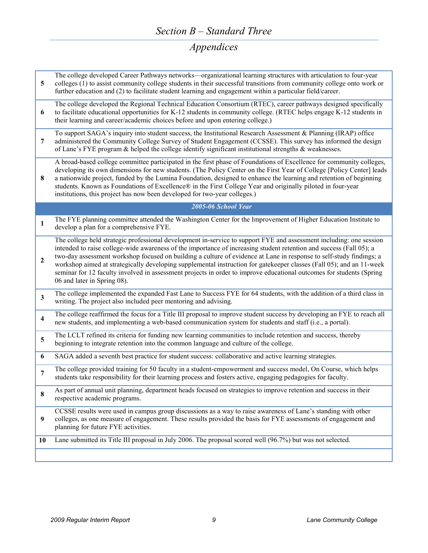# *Section B – Standard Three*

# *Appendices*

| 5                       | The college developed Career Pathways networks—organizational learning structures with articulation to four-year<br>colleges (1) to assist community college students in their successful transitions from community college onto work or<br>further education and (2) to facilitate student learning and engagement within a particular field/career.                                                                                                                                                                                                                                                                                           |
|-------------------------|--------------------------------------------------------------------------------------------------------------------------------------------------------------------------------------------------------------------------------------------------------------------------------------------------------------------------------------------------------------------------------------------------------------------------------------------------------------------------------------------------------------------------------------------------------------------------------------------------------------------------------------------------|
| 6                       | The college developed the Regional Technical Education Consortium (RTEC), career pathways designed specifically<br>to facilitate educational opportunities for K-12 students in community college. (RTEC helps engage K-12 students in<br>their learning and career/academic choices before and upon entering college.)                                                                                                                                                                                                                                                                                                                          |
| 7                       | To support SAGA's inquiry into student success, the Institutional Research Assessment & Planning (IRAP) office<br>administered the Community College Survey of Student Engagement (CCSSE). This survey has informed the design<br>of Lane's FYE program & helped the college identify significant institutional strengths & weaknesses.                                                                                                                                                                                                                                                                                                          |
| 8                       | A broad-based college committee participated in the first phase of Foundations of Excellence for community colleges,<br>developing its own dimensions for new students. (The Policy Center on the First Year of College [Policy Center] leads<br>a nationwide project, funded by the Lumina Foundation, designed to enhance the learning and retention of beginning<br>students. Known as Foundations of Excellence® in the First College Year and originally piloted in four-year<br>institutions, this project has now been developed for two-year colleges.)                                                                                  |
|                         | 2005-06 School Year                                                                                                                                                                                                                                                                                                                                                                                                                                                                                                                                                                                                                              |
| $\mathbf{1}$            | The FYE planning committee attended the Washington Center for the Improvement of Higher Education Institute to<br>develop a plan for a comprehensive FYE.                                                                                                                                                                                                                                                                                                                                                                                                                                                                                        |
| $\overline{2}$          | The college held strategic professional development in-service to support FYE and assessment including: one session<br>intended to raise college-wide awareness of the importance of increasing student retention and success (Fall 05); a<br>two-day assessment workshop focused on building a culture of evidence at Lane in response to self-study findings; a<br>workshop aimed at strategically developing supplemental instruction for gatekeeper classes (Fall 05); and an 11-week<br>seminar for 12 faculty involved in assessment projects in order to improve educational outcomes for students (Spring<br>06 and later in Spring 08). |
| $\mathbf{3}$            | The college implemented the expanded Fast Lane to Success FYE for 64 students, with the addition of a third class in<br>writing. The project also included peer mentoring and advising.                                                                                                                                                                                                                                                                                                                                                                                                                                                          |
| $\overline{\mathbf{4}}$ | The college reaffirmed the focus for a Title III proposal to improve student success by developing an FYE to reach all<br>new students, and implementing a web-based communication system for students and staff (i.e., a portal).                                                                                                                                                                                                                                                                                                                                                                                                               |
| $\overline{\mathbf{5}}$ | The LCLT refined its criteria for funding new learning communities to include retention and success, thereby<br>beginning to integrate retention into the common language and culture of the college.                                                                                                                                                                                                                                                                                                                                                                                                                                            |
| 6                       | SAGA added a seventh best practice for student success: collaborative and active learning strategies.                                                                                                                                                                                                                                                                                                                                                                                                                                                                                                                                            |
| 7                       | The college provided training for 50 faculty in a student-empowerment and success model, On Course, which helps<br>students take responsibility for their learning process and fosters active, engaging pedagogies for faculty.                                                                                                                                                                                                                                                                                                                                                                                                                  |
| 8                       | As part of annual unit planning, department heads focused on strategies to improve retention and success in their<br>respective academic programs.                                                                                                                                                                                                                                                                                                                                                                                                                                                                                               |
| 9                       | CCSSE results were used in campus group discussions as a way to raise awareness of Lane's standing with other<br>colleges, as one measure of engagement. These results provided the basis for FYE assessments of engagement and<br>planning for future FYE activities.                                                                                                                                                                                                                                                                                                                                                                           |
| 10                      | Lane submitted its Title III proposal in July 2006. The proposal scored well (96.7%) but was not selected.                                                                                                                                                                                                                                                                                                                                                                                                                                                                                                                                       |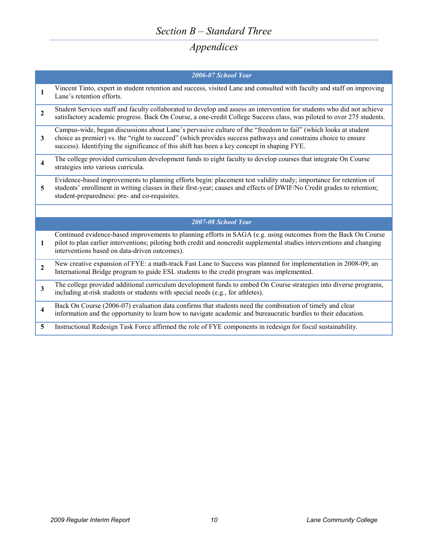# *Section B – Standard Three*

# *Appendices*

|                         | 2006-07 School Year                                                                                                                                                                                                                                                                                                             |
|-------------------------|---------------------------------------------------------------------------------------------------------------------------------------------------------------------------------------------------------------------------------------------------------------------------------------------------------------------------------|
| $\mathbf{1}$            | Vincent Tinto, expert in student retention and success, visited Lane and consulted with faculty and staff on improving<br>Lane's retention efforts.                                                                                                                                                                             |
| $\overline{2}$          | Student Services staff and faculty collaborated to develop and assess an intervention for students who did not achieve<br>satisfactory academic progress. Back On Course, a one-credit College Success class, was piloted to over 275 students.                                                                                 |
| $\mathbf{3}$            | Campus-wide, began discussions about Lane's pervasive culture of the "freedom to fail" (which looks at student<br>choice as premier) vs. the "right to succeed" (which provides success pathways and constrains choice to ensure<br>success). Identifying the significance of this shift has been a key concept in shaping FYE. |
| 4                       | The college provided curriculum development funds to eight faculty to develop courses that integrate On Course<br>strategies into various curricula.                                                                                                                                                                            |
| 5                       | Evidence-based improvements to planning efforts begin: placement test validity study; importance for retention of<br>students' enrollment in writing classes in their first-year; causes and effects of DWIF/No Credit grades to retention;<br>student-preparedness: pre- and co-requisites.                                    |
|                         |                                                                                                                                                                                                                                                                                                                                 |
|                         | 2007-08 School Year                                                                                                                                                                                                                                                                                                             |
| 1                       | Continued evidence-based improvements to planning efforts in SAGA (e.g. using outcomes from the Back On Course<br>pilot to plan earlier interventions; piloting both credit and noncredit supplemental studies interventions and changing<br>interventions based on data-driven outcomes).                                      |
| $\mathbf{2}$            | New creative expansion of FYE: a math-track Fast Lane to Success was planned for implementation in 2008-09; an<br>International Bridge program to guide ESL students to the credit program was implemented.                                                                                                                     |
| 3                       | The college provided additional curriculum development funds to embed On Course strategies into diverse programs,<br>including at-risk students or students with special needs (e.g., for athletes).                                                                                                                            |
| $\overline{\mathbf{4}}$ | Back On Course (2006-07) evaluation data confirms that students need the combination of timely and clear<br>information and the opportunity to learn how to navigate academic and bureaucratic hurdles to their education.                                                                                                      |
| 5                       | Instructional Redesign Task Force affirmed the role of FYE components in redesign for fiscal sustainability.                                                                                                                                                                                                                    |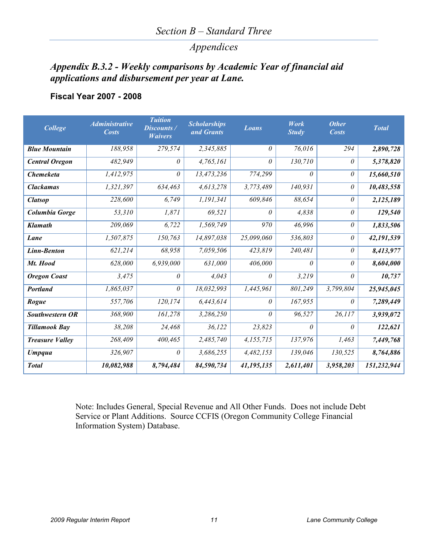## *Section B – Standard Three*

# *Appendices*

## *Appendix B.3.2 - Weekly comparisons by Academic Year of financial aid applications and disbursement per year at Lane.*

#### **Fiscal Year 2007 - 2008**

| College                | <b>Administrative</b><br><b>Costs</b> | <b>Tuition</b><br>Discounts /<br><b>Waivers</b> | <b>Scholarships</b><br>and Grants | <b>Loans</b> | <b>Work</b><br><b>Study</b> | <b>Other</b><br><b>Costs</b> | <b>Total</b> |
|------------------------|---------------------------------------|-------------------------------------------------|-----------------------------------|--------------|-----------------------------|------------------------------|--------------|
| <b>Blue Mountain</b>   | 188,958                               | 279,574                                         | 2,345,885                         | 0            | 76,016                      | 294                          | 2,890,728    |
| <b>Central Oregon</b>  | 482,949                               | $\theta$                                        | 4,765,161                         | $\theta$     | 130,710                     | 0                            | 5,378,820    |
| <b>Chemeketa</b>       | 1,412,975                             | $\theta$                                        | 13,473,236                        | 774,299      | 0                           | $\theta$                     | 15,660,510   |
| <b>Clackamas</b>       | 1,321,397                             | 634,463                                         | 4,613,278                         | 3,773,489    | 140,931                     | $\theta$                     | 10,483,558   |
| <b>Clatsop</b>         | 228,600                               | 6.749                                           | 1,191,341                         | 609,846      | 88,654                      | 0                            | 2,125,189    |
| Columbia Gorge         | 53,310                                | 1,871                                           | 69,521                            | 0            | 4,838                       | 0                            | 129,540      |
| <b>Klamath</b>         | 209,069                               | 6,722                                           | 1,569,749                         | 970          | 46,996                      | $\theta$                     | 1,833,506    |
| Lane                   | 1,507,875                             | 150,763                                         | 14,897,038                        | 25,099,060   | 536,803                     | 0                            | 42,191,539   |
| Linn-Benton            | 621,214                               | 68,958                                          | 7,059,506                         | 423,819      | 240,481                     | 0                            | 8,413,977    |
| Mt. Hood               | 628,000                               | 6,939,000                                       | 631,000                           | 406,000      | 0                           | $\theta$                     | 8,604,000    |
| <b>Oregon Coast</b>    | 3.475                                 | 0                                               | 4.043                             | 0            | 3,219                       | 0                            | 10,737       |
| <b>Portland</b>        | 1,865,037                             | $\theta$                                        | 18,032,993                        | 1,445,961    | 801,249                     | 3,799,804                    | 25,945,045   |
| Rogue                  | 557,706                               | 120,174                                         | 6,443,614                         | $\theta$     | 167,955                     | $\theta$                     | 7,289,449    |
| Southwestern OR        | 368,900                               | 161,278                                         | 3,286,250                         | $\theta$     | 96,527                      | 26,117                       | 3,939,072    |
| <b>Tillamook Bay</b>   | 38,208                                | 24,468                                          | 36,122                            | 23,823       | $\theta$                    | 0                            | 122,621      |
| <b>Treasure Valley</b> | 268,409                               | 400,465                                         | 2,485,740                         | 4,155,715    | 137,976                     | 1,463                        | 7,449,768    |
| <b>Umpqua</b>          | 326,907                               | $\theta$                                        | 3,686,255                         | 4,482,153    | 139,046                     | 130,525                      | 8,764,886    |
| <b>Total</b>           | 10,082,988                            | 8,794,484                                       | 84,590,734                        | 41,195,135   | 2,611,401                   | 3,958,203                    | 151,232,944  |

Note: Includes General, Special Revenue and All Other Funds. Does not include Debt Service or Plant Additions. Source CCFIS (Oregon Community College Financial Information System) Database.